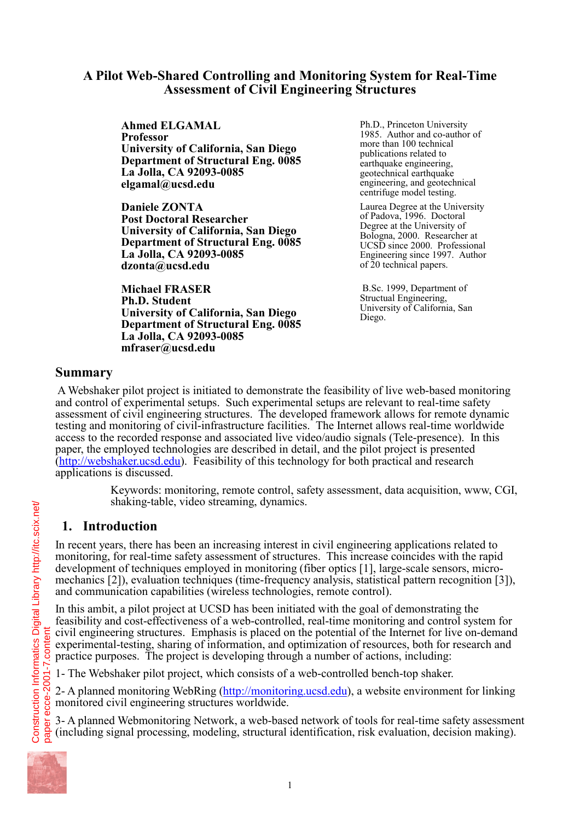## **A Pilot Web-Shared Controlling and Monitoring System for Real-Time Assessment of Civil Engineering Structures**

**Ahmed ELGAMAL Professor University of California, San Diego Department of Structural Eng. 0085 La Jolla, CA 92093-0085 elgamal@ucsd.edu** 

**Daniele ZONTA Post Doctoral Researcher University of California, San Diego Department of Structural Eng. 0085 La Jolla, CA 92093-0085 dzonta@ucsd.edu**

**Michael FRASER Ph.D. Student University of California, San Diego Department of Structural Eng. 0085 La Jolla, CA 92093-0085 mfraser@ucsd.edu** 

Ph.D., Princeton University 1985. Author and co-author of more than 100 technical publications related to earthquake engineering, geotechnical earthquake engineering, and geotechnical centrifuge model testing.

Laurea Degree at the University of Padova, 1996. Doctoral Degree at the University of Bologna, 2000. Researcher at UCSD since 2000. Professional Engineering since 1997. Author of 20 technical papers.

 B.Sc. 1999, Department of Structual Engineering, University of California, San Diego.

## **Summary**

 A Webshaker pilot project is initiated to demonstrate the feasibility of live web-based monitoring and control of experimental setups. Such experimental setups are relevant to real-time safety assessment of civil engineering structures. The developed framework allows for remote dynamic testing and monitoring of civil-infrastructure facilities. The Internet allows real-time worldwide access to the recorded response and associated live video/audio signals (Tele-presence). In this paper, the employed technologies are described in detail, and the pilot project is presented (http://webshaker.ucsd.edu). Feasibility of this technology for both practical and research applications is discussed.

> Keywords: monitoring, remote control, safety assessment, data acquisition, www, CGI, shaking-table, video streaming, dynamics.

# **1. Introduction**

In recent years, there has been an increasing interest in civil engineering applications related to monitoring, for real-time safety assessment of structures. This increase coincides with the rapid development of techniques employed in monitoring (fiber optics [1], large-scale sensors, micromechanics [2]), evaluation techniques (time-frequency analysis, statistical pattern recognition [3]), and communication capabilities (wireless technologies, remote control).

In this ambit, a pilot project at UCSD has been initiated with the goal of demonstrating the feasibility and cost-effectiveness of a web-controlled, real-time monitoring and control system for civil engineering structures. Emphasis is placed on the potential of the Internet for live on-demand experimental-testing, sharing of information, and optimization of resources, both for research and practice purposes. The project is developing through a number of actions, including:

1- The Webshaker pilot project, which consists of a web-controlled bench-top shaker.

2- A planned monitoring WebRing (http://monitoring.ucsd.edu), a website environment for linking monitored civil engineering structures worldwide.

3- A planned Webmonitoring Network, a web-based network of tools for real-time safety assessment (including signal processing, modeling, structural identification, risk evaluation, decision making).

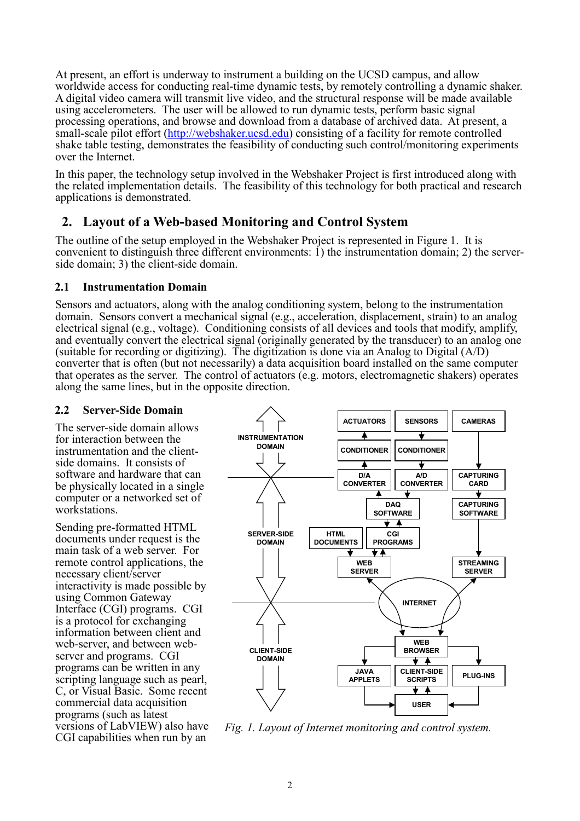At present, an effort is underway to instrument a building on the UCSD campus, and allow worldwide access for conducting real-time dynamic tests, by remotely controlling a dynamic shaker. A digital video camera will transmit live video, and the structural response will be made available using accelerometers. The user will be allowed to run dynamic tests, perform basic signal processing operations, and browse and download from a database of archived data. At present, a small-scale pilot effort (http://webshaker.ucsd.edu) consisting of a facility for remote controlled shake table testing, demonstrates the feasibility of conducting such control/monitoring experiments over the Internet.

In this paper, the technology setup involved in the Webshaker Project is first introduced along with the related implementation details. The feasibility of this technology for both practical and research applications is demonstrated.

## **2. Layout of a Web-based Monitoring and Control System**

The outline of the setup employed in the Webshaker Project is represented in Figure 1. It is convenient to distinguish three different environments: 1) the instrumentation domain; 2) the serverside domain; 3) the client-side domain.

#### **2.1 Instrumentation Domain**

Sensors and actuators, along with the analog conditioning system, belong to the instrumentation domain. Sensors convert a mechanical signal (e.g., acceleration, displacement, strain) to an analog electrical signal (e.g., voltage). Conditioning consists of all devices and tools that modify, amplify, and eventually convert the electrical signal (originally generated by the transducer) to an analog one (suitable for recording or digitizing). The digitization is done via an Analog to Digital (A/D) converter that is often (but not necessarily) a data acquisition board installed on the same computer that operates as the server. The control of actuators (e.g. motors, electromagnetic shakers) operates along the same lines, but in the opposite direction.

#### **2.2 Server-Side Domain**

The server-side domain allows for interaction between the instrumentation and the clientside domains. It consists of software and hardware that can be physically located in a single computer or a networked set of workstations.

Sending pre-formatted HTML documents under request is the main task of a web server. For remote control applications, the necessary client/server interactivity is made possible by using Common Gateway Interface (CGI) programs. CGI is a protocol for exchanging information between client and web-server, and between webserver and programs. CGI programs can be written in any scripting language such as pearl, C, or Visual Basic. Some recent commercial data acquisition programs (such as latest versions of LabVIEW) also have CGI capabilities when run by an



*Fig. 1. Layout of Internet monitoring and control system.*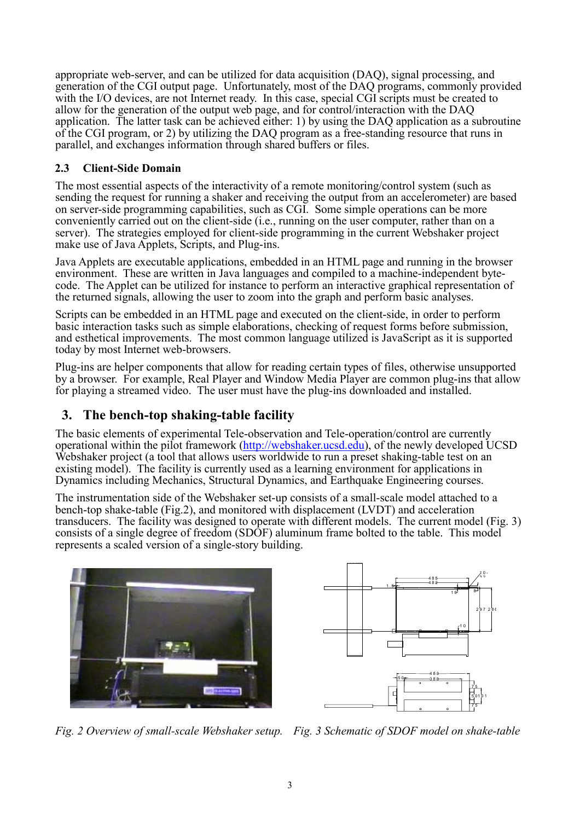appropriate web-server, and can be utilized for data acquisition (DAQ), signal processing, and generation of the CGI output page. Unfortunately, most of the DAQ programs, commonly provided with the I/O devices, are not Internet ready. In this case, special CGI scripts must be created to allow for the generation of the output web page, and for control/interaction with the DAQ application. The latter task can be achieved either: 1) by using the DAQ application as a subroutine of the CGI program, or 2) by utilizing the DAQ program as a free-standing resource that runs in parallel, and exchanges information through shared buffers or files.

### **2.3 Client-Side Domain**

The most essential aspects of the interactivity of a remote monitoring/control system (such as sending the request for running a shaker and receiving the output from an accelerometer) are based on server-side programming capabilities, such as CGI. Some simple operations can be more conveniently carried out on the client-side (i.e., running on the user computer, rather than on a server). The strategies employed for client-side programming in the current Webshaker project make use of Java Applets, Scripts, and Plug-ins.

Java Applets are executable applications, embedded in an HTML page and running in the browser environment. These are written in Java languages and compiled to a machine-independent bytecode. The Applet can be utilized for instance to perform an interactive graphical representation of the returned signals, allowing the user to zoom into the graph and perform basic analyses.

Scripts can be embedded in an HTML page and executed on the client-side, in order to perform basic interaction tasks such as simple elaborations, checking of request forms before submission, and esthetical improvements. The most common language utilized is JavaScript as it is supported today by most Internet web-browsers.

Plug-ins are helper components that allow for reading certain types of files, otherwise unsupported by a browser. For example, Real Player and Window Media Player are common plug-ins that allow for playing a streamed video. The user must have the plug-ins downloaded and installed.

# **3. The bench-top shaking-table facility**

The basic elements of experimental Tele-observation and Tele-operation/control are currently operational within the pilot framework (http://webshaker.ucsd.edu), of the newly developed UCSD Webshaker project (a tool that allows users worldwide to run a preset shaking-table test on an existing model). The facility is currently used as a learning environment for applications in Dynamics including Mechanics, Structural Dynamics, and Earthquake Engineering courses.

The instrumentation side of the Webshaker set-up consists of a small-scale model attached to a bench-top shake-table (Fig.2), and monitored with displacement (LVDT) and acceleration transducers. The facility was designed to operate with different models. The current model (Fig. 3) consists of a single degree of freedom (SDOF) aluminum frame bolted to the table. This model represents a scaled version of a single-story building.





*Fig. 2 Overview of small-scale Webshaker setup. Fig. 3 Schematic of SDOF model on shake-table*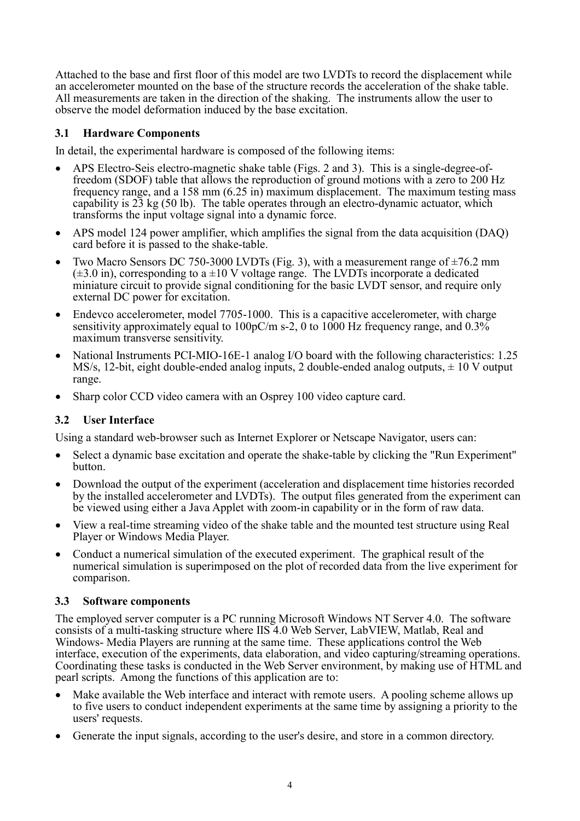Attached to the base and first floor of this model are two LVDTs to record the displacement while an accelerometer mounted on the base of the structure records the acceleration of the shake table. All measurements are taken in the direction of the shaking. The instruments allow the user to observe the model deformation induced by the base excitation.

## **3.1 Hardware Components**

In detail, the experimental hardware is composed of the following items:

- APS Electro-Seis electro-magnetic shake table (Figs. 2 and 3). This is a single-degree-offreedom (SDOF) table that allows the reproduction of ground motions with a zero to 200 Hz frequency range, and a 158 mm (6.25 in) maximum displacement. The maximum testing mass capability is 23 kg (50 lb). The table operates through an electro-dynamic actuator, which transforms the input voltage signal into a dynamic force.
- APS model 124 power amplifier, which amplifies the signal from the data acquisition (DAQ) card before it is passed to the shake-table.
- Two Macro Sensors DC 750-3000 LVDTs (Fig. 3), with a measurement range of ±76.2 mm (±3.0 in), corresponding to a ±10 V voltage range. The LVDTs incorporate a dedicated miniature circuit to provide signal conditioning for the basic LVDT sensor, and require only external DC power for excitation.
- Endevco accelerometer, model 7705-1000. This is a capacitive accelerometer, with charge sensitivity approximately equal to  $100pC/m$  s-2, 0 to  $1000$  Hz frequency range, and  $0.3\%$ maximum transverse sensitivity.
- National Instruments PCI-MIO-16E-1 analog I/O board with the following characteristics: 1.25 MS/s, 12-bit, eight double-ended analog inputs, 2 double-ended analog outputs,  $\pm$  10 V output range.
- Sharp color CCD video camera with an Osprey 100 video capture card.

### **3.2 User Interface**

Using a standard web-browser such as Internet Explorer or Netscape Navigator, users can:

- Select a dynamic base excitation and operate the shake-table by clicking the "Run Experiment" button.
- Download the output of the experiment (acceleration and displacement time histories recorded by the installed accelerometer and LVDTs). The output files generated from the experiment can be viewed using either a Java Applet with zoom-in capability or in the form of raw data.
- View a real-time streaming video of the shake table and the mounted test structure using Real Player or Windows Media Player.
- Conduct a numerical simulation of the executed experiment. The graphical result of the numerical simulation is superimposed on the plot of recorded data from the live experiment for comparison.

### **3.3 Software components**

The employed server computer is a PC running Microsoft Windows NT Server 4.0. The software consists of a multi-tasking structure where IIS 4.0 Web Server, LabVIEW, Matlab, Real and Windows- Media Players are running at the same time. These applications control the Web interface, execution of the experiments, data elaboration, and video capturing/streaming operations. Coordinating these tasks is conducted in the Web Server environment, by making use of HTML and pearl scripts. Among the functions of this application are to:

- Make available the Web interface and interact with remote users. A pooling scheme allows up to five users to conduct independent experiments at the same time by assigning a priority to the users' requests.
- Generate the input signals, according to the user's desire, and store in a common directory.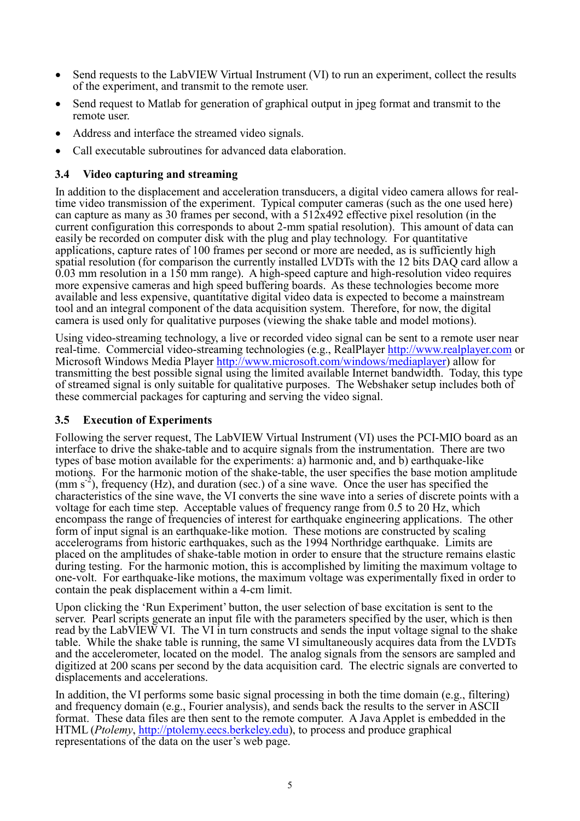- Send requests to the LabVIEW Virtual Instrument (VI) to run an experiment, collect the results of the experiment, and transmit to the remote user.
- Send request to Matlab for generation of graphical output in jpeg format and transmit to the remote user.
- Address and interface the streamed video signals.
- Call executable subroutines for advanced data elaboration.

## **3.4 Video capturing and streaming**

In addition to the displacement and acceleration transducers, a digital video camera allows for realtime video transmission of the experiment. Typical computer cameras (such as the one used here) can capture as many as 30 frames per second, with a 512x492 effective pixel resolution (in the current configuration this corresponds to about 2-mm spatial resolution). This amount of data can easily be recorded on computer disk with the plug and play technology. For quantitative applications, capture rates of 100 frames per second or more are needed, as is sufficiently high spatial resolution (for comparison the currently installed LVDTs with the 12 bits DAQ card allow a 0.03 mm resolution in a 150 mm range). A high-speed capture and high-resolution video requires more expensive cameras and high speed buffering boards. As these technologies become more available and less expensive, quantitative digital video data is expected to become a mainstream tool and an integral component of the data acquisition system. Therefore, for now, the digital camera is used only for qualitative purposes (viewing the shake table and model motions).

Using video-streaming technology, a live or recorded video signal can be sent to a remote user near real-time. Commercial video-streaming technologies (e.g., RealPlayer http://www.realplayer.com or Microsoft Windows Media Player http://www.microsoft.com/windows/mediaplayer) allow for transmitting the best possible signal using the limited available Internet bandwidth. Today, this type of streamed signal is only suitable for qualitative purposes. The Webshaker setup includes both of these commercial packages for capturing and serving the video signal.

### **3.5 Execution of Experiments**

Following the server request, The LabVIEW Virtual Instrument (VI) uses the PCI-MIO board as an interface to drive the shake-table and to acquire signals from the instrumentation. There are two types of base motion available for the experiments: a) harmonic and, and b) earthquake-like motions. For the harmonic motion of the shake-table, the user specifies the base motion amplitude  $(\text{mm s}^{-2})$ , frequency (Hz), and duration (sec.) of a sine wave. Once the user has specified the characteristics of the sine wave, the VI converts the sine wave into a series of discrete points with a voltage for each time step. Acceptable values of frequency range from 0.5 to 20 Hz, which encompass the range of frequencies of interest for earthquake engineering applications. The other form of input signal is an earthquake-like motion. These motions are constructed by scaling accelerograms from historic earthquakes, such as the 1994 Northridge earthquake. Limits are placed on the amplitudes of shake-table motion in order to ensure that the structure remains elastic during testing. For the harmonic motion, this is accomplished by limiting the maximum voltage to one-volt. For earthquake-like motions, the maximum voltage was experimentally fixed in order to contain the peak displacement within a 4-cm limit.

Upon clicking the 'Run Experiment' button, the user selection of base excitation is sent to the server. Pearl scripts generate an input file with the parameters specified by the user, which is then read by the LabVIEW VI. The VI in turn constructs and sends the input voltage signal to the shake table. While the shake table is running, the same VI simultaneously acquires data from the LVDTs and the accelerometer, located on the model. The analog signals from the sensors are sampled and digitized at 200 scans per second by the data acquisition card. The electric signals are converted to displacements and accelerations.

In addition, the VI performs some basic signal processing in both the time domain (e.g., filtering) and frequency domain (e.g., Fourier analysis), and sends back the results to the server in ASCII format. These data files are then sent to the remote computer. A Java Applet is embedded in the HTML (*Ptolemy*, http://ptolemy.eecs.berkeley.edu), to process and produce graphical representations of the data on the user's web page.